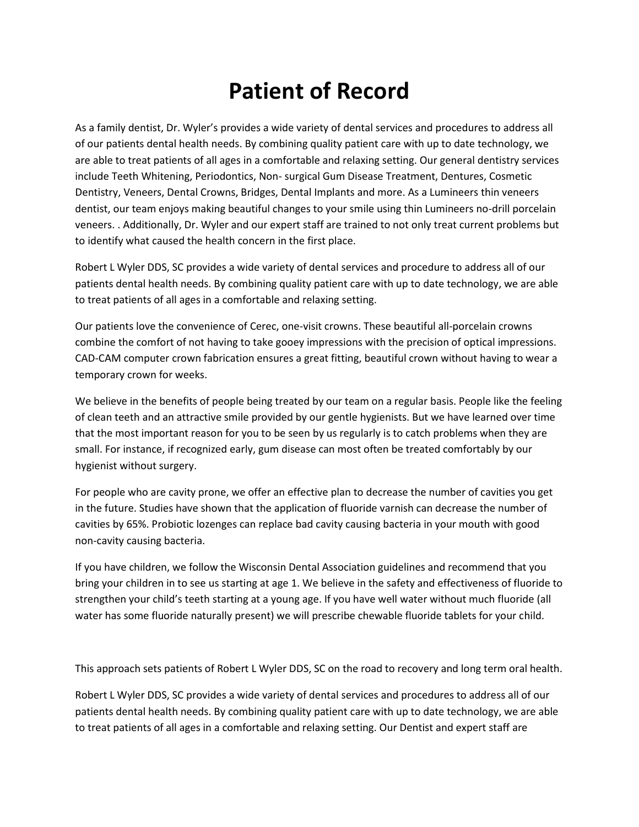## **Patient of Record**

As a family dentist, Dr. Wyler's provides a wide variety of dental services and procedures to address all of our patients dental health needs. By combining quality patient care with up to date technology, we are able to treat patients of all ages in a comfortable and relaxing setting. Our general dentistry services include Teeth Whitening, Periodontics, Non- surgical Gum Disease Treatment, Dentures, Cosmetic Dentistry, Veneers, Dental Crowns, Bridges, Dental Implants and more. As a Lumineers thin veneers dentist, our team enjoys making beautiful changes to your smile using thin Lumineers no-drill porcelain veneers. . Additionally, Dr. Wyler and our expert staff are trained to not only treat current problems but to identify what caused the health concern in the first place.

Robert L Wyler DDS, SC provides a wide variety of dental services and procedure to address all of our patients dental health needs. By combining quality patient care with up to date technology, we are able to treat patients of all ages in a comfortable and relaxing setting.

Our patients love the convenience of Cerec, one-visit crowns. These beautiful all-porcelain crowns combine the comfort of not having to take gooey impressions with the precision of optical impressions. CAD-CAM computer crown fabrication ensures a great fitting, beautiful crown without having to wear a temporary crown for weeks.

We believe in the benefits of people being treated by our team on a regular basis. People like the feeling of clean teeth and an attractive smile provided by our gentle hygienists. But we have learned over time that the most important reason for you to be seen by us regularly is to catch problems when they are small. For instance, if recognized early, gum disease can most often be treated comfortably by our hygienist without surgery.

For people who are cavity prone, we offer an effective plan to decrease the number of cavities you get in the future. Studies have shown that the application of fluoride varnish can decrease the number of cavities by 65%. Probiotic lozenges can replace bad cavity causing bacteria in your mouth with good non-cavity causing bacteria.

If you have children, we follow the Wisconsin Dental Association guidelines and recommend that you bring your children in to see us starting at age 1. We believe in the safety and effectiveness of fluoride to strengthen your child's teeth starting at a young age. If you have well water without much fluoride (all water has some fluoride naturally present) we will prescribe chewable fluoride tablets for your child.

This approach sets patients of Robert L Wyler DDS, SC on the road to recovery and long term oral health.

Robert L Wyler DDS, SC provides a wide variety of dental services and procedures to address all of our patients dental health needs. By combining quality patient care with up to date technology, we are able to treat patients of all ages in a comfortable and relaxing setting. Our Dentist and expert staff are